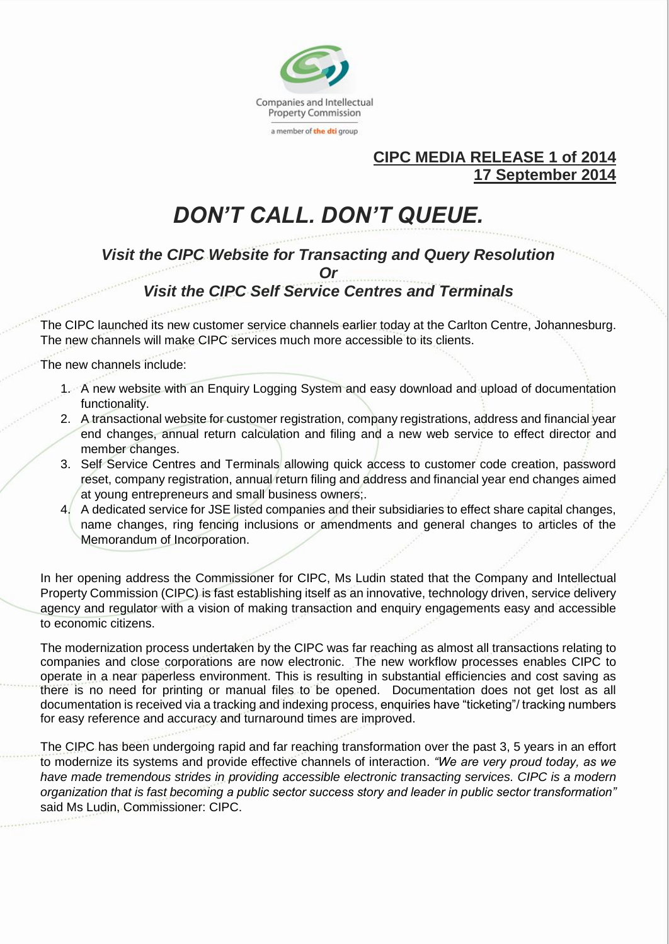

## **CIPC MEDIA RELEASE 1 of 2014 17 September 2014**

# *DON'T CALL. DON'T QUEUE.*

*Visit the CIPC Website for Transacting and Query Resolution Or*

# *Visit the CIPC Self Service Centres and Terminals*

The CIPC launched its new customer service channels earlier today at the Carlton Centre, Johannesburg. The new channels will make CIPC services much more accessible to its clients.

The new channels include:

- 1. A new website with an Enquiry Logging System and easy download and upload of documentation functionality.
- 2. A transactional website for customer registration, company registrations, address and financial year end changes, annual return calculation and filing and a new web service to effect director and member changes.
- 3. Self Service Centres and Terminals allowing quick access to customer code creation, password reset, company registration, annual return filing and address and financial year end changes aimed at young entrepreneurs and small business owners;.
- 4. A dedicated service for JSE listed companies and their subsidiaries to effect share capital changes, name changes, ring fencing inclusions or amendments and general changes to articles of the Memorandum of Incorporation.

In her opening address the Commissioner for CIPC, Ms Ludin stated that the Company and Intellectual Property Commission (CIPC) is fast establishing itself as an innovative, technology driven, service delivery agency and regulator with a vision of making transaction and enquiry engagements easy and accessible to economic citizens.

The modernization process undertaken by the CIPC was far reaching as almost all transactions relating to companies and close corporations are now electronic. The new workflow processes enables CIPC to operate in a near paperless environment. This is resulting in substantial efficiencies and cost saving as there is no need for printing or manual files to be opened. Documentation does not get lost as all documentation is received via a tracking and indexing process, enquiries have "ticketing"/ tracking numbers for easy reference and accuracy and turnaround times are improved.

The CIPC has been undergoing rapid and far reaching transformation over the past 3, 5 years in an effort to modernize its systems and provide effective channels of interaction. *"We are very proud today, as we have made tremendous strides in providing accessible electronic transacting services. CIPC is a modern organization that is fast becoming a public sector success story and leader in public sector transformation"* said Ms Ludin, Commissioner: CIPC.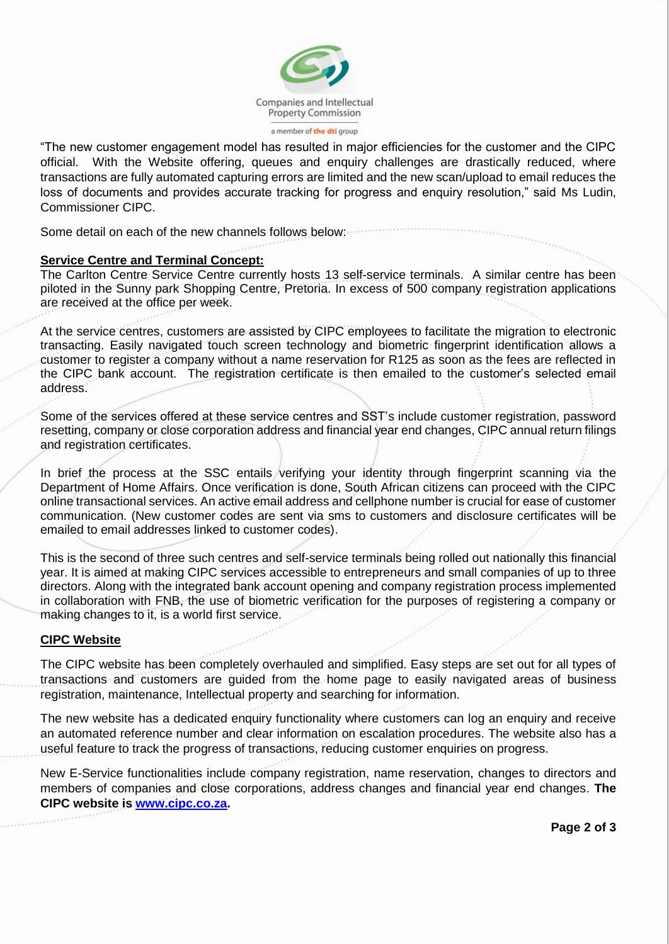

"The new customer engagement model has resulted in major efficiencies for the customer and the CIPC official. With the Website offering, queues and enquiry challenges are drastically reduced, where transactions are fully automated capturing errors are limited and the new scan/upload to email reduces the loss of documents and provides accurate tracking for progress and enquiry resolution," said Ms Ludin, Commissioner CIPC.

Some detail on each of the new channels follows below:

#### **Service Centre and Terminal Concept:**

The Carlton Centre Service Centre currently hosts 13 self-service terminals. A similar centre has been piloted in the Sunny park Shopping Centre, Pretoria. In excess of 500 company registration applications are received at the office per week.

At the service centres, customers are assisted by CIPC employees to facilitate the migration to electronic transacting. Easily navigated touch screen technology and biometric fingerprint identification allows a customer to register a company without a name reservation for R125 as soon as the fees are reflected in the CIPC bank account. The registration certificate is then emailed to the customer's selected email address.

Some of the services offered at these service centres and SST's include customer registration, password resetting, company or close corporation address and financial year end changes, CIPC annual return filings and registration certificates.

In brief the process at the SSC entails verifying your identity through fingerprint scanning via the Department of Home Affairs. Once verification is done, South African citizens can proceed with the CIPC online transactional services. An active email address and cellphone number is crucial for ease of customer communication. (New customer codes are sent via sms to customers and disclosure certificates will be emailed to email addresses linked to customer codes).

This is the second of three such centres and self-service terminals being rolled out nationally this financial year. It is aimed at making CIPC services accessible to entrepreneurs and small companies of up to three directors. Along with the integrated bank account opening and company registration process implemented in collaboration with FNB, the use of biometric verification for the purposes of registering a company or making changes to it, is a world first service.

## **CIPC Website**

The CIPC website has been completely overhauled and simplified. Easy steps are set out for all types of transactions and customers are guided from the home page to easily navigated areas of business registration, maintenance, Intellectual property and searching for information.

The new website has a dedicated enquiry functionality where customers can log an enquiry and receive an automated reference number and clear information on escalation procedures. The website also has a useful feature to track the progress of transactions, reducing customer enquiries on progress.

New E-Service functionalities include company registration, name reservation, changes to directors and members of companies and close corporations, address changes and financial year end changes. **The CIPC website is [www.cipc.co.za.](http://www.cipc.co.za/)**